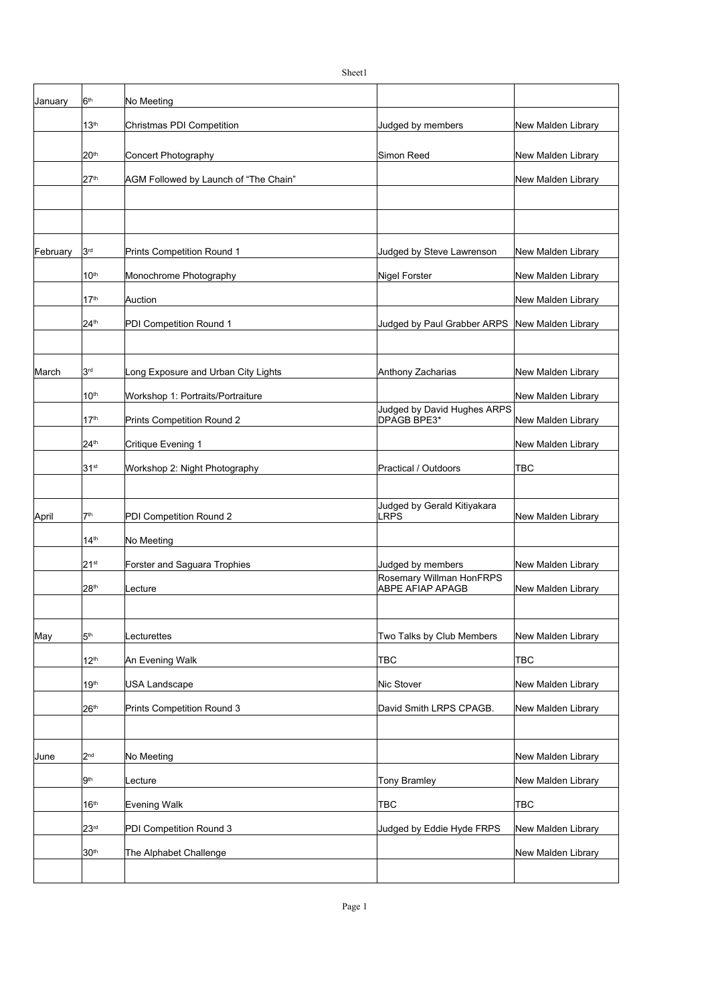January  $\vert 6^{th} \vert$  No Meeting Christmas PDI Competition **Christmas PDI Competition** Christmas Automobile Distribution Automobile Distribution Concert Photography **Simon Reed** New Malden Library Simon Reed New Malden Library AGM Followed by Launch of "The Chain" New Malden Library New Malden Library February  $3^{rd}$  Prints Competition Round 1 Judged by Steve Lawrenson New Malden Library Monochrome Photography Nigel Forster New Malden Library New Malden Library Auction **Auction Automatic Contract of Automatic Contract of Automatic Contract Automatic Contract Operation** Au PDI Competition Round 1 Judged by Paul Grabber ARPS New Malden Library March  $3^{rd}$  Long Exposure and Urban City Lights  $\lambda$  Anthony Zacharias New Malden Library Workshop 1: Portraits/Portraiture New Malden Library New Malden Library New Malden Library Prints Competition Round 2 **New Your Library Competition Round 2** New Malden Library Critique Evening 1 New Malden Library New Malden Library New Malden Library Workshop 2: Night Photography Practical / Outdoors April  $|7^{\text{\tiny th}}$  PDI Competition Round 2 LRPS New Malden Library No Meeting Forster and Saguara Trophies **Judged by members** New Malden Library Lecture New Malden Library May  $S^{\text{th}}$  Lecturettes the state of the Two Talks by Club Members New Malden Library An Evening Walk **TBC** TBC TBC USA Landscape **Nicklary Community Community** Mic Stover New Malden Library Prints Competition Round 3 **David Smith LRPS CPAGB.** New Malden Library June 2™ No Meeting New Malden Library New Malden Library New Malden Library New Malden Library Lecture **Tomy Bramley New Malden Library** New Malden Library Evening Walk TBC TBC TBC PDI Competition Round 3 **All assets a Contract Connective Connective** Judged by Eddie Hyde FRPS New Malden Library The Alphabet Challenge New Malden Library New Malden Library  $6<sup>th</sup>$ 13<sup>th</sup> 20th  $27<sup>th</sup>$ 3 rd 10th 17th  $24<sup>th</sup>$ 3 rd  $10<sup>th</sup>$ 17th Judged by David Hughes ARPS DPAGB BPE3\* 24th 31st 7 th Judged by Gerald Kitiyakara LRPS 14th  $21<sup>st</sup>$ 28<sup>th</sup> Rosemary Willman HonFRPS ABPE AFIAP APAGB  $5<sup>th</sup>$  $12<sup>th</sup>$ 19th 26<sup>th</sup> 2 nd 9 th 16th 23rd 30<sup>th</sup>